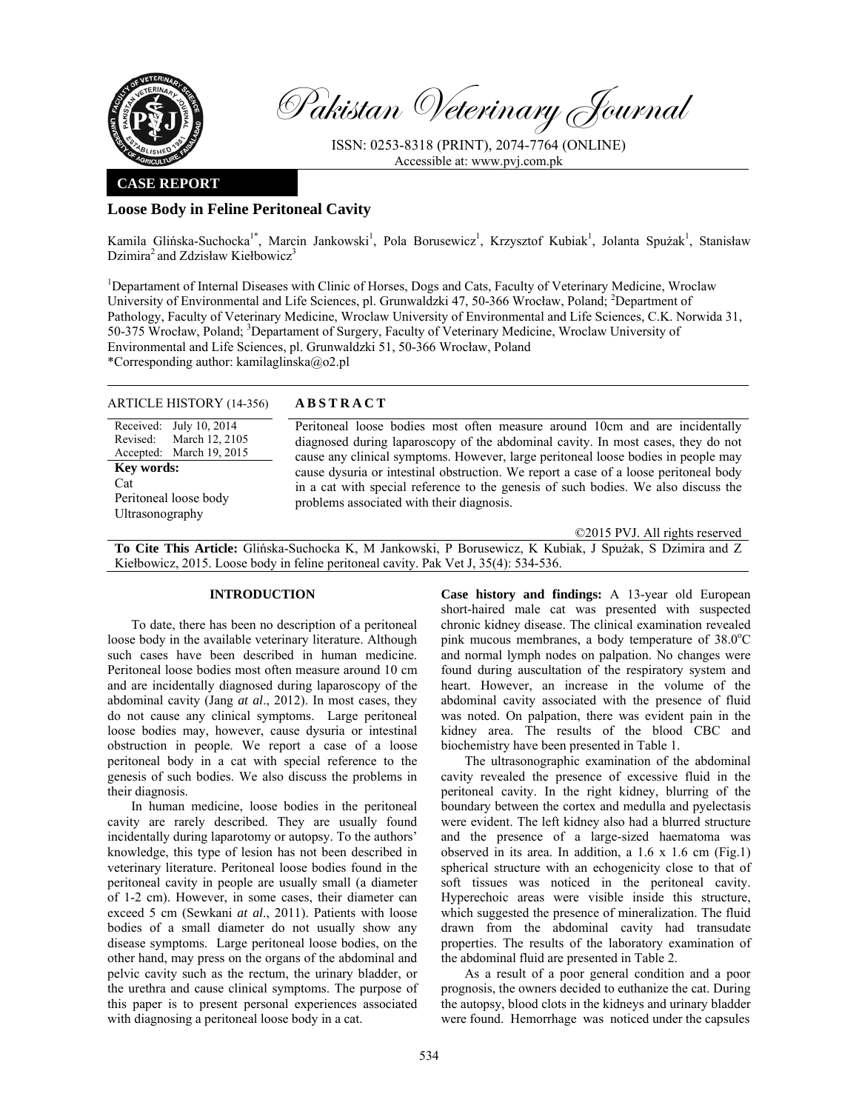

Pakistan Veterinary Journal

ISSN: 0253-8318 (PRINT), 2074-7764 (ONLINE) Accessible at: www.pvj.com.pk

## **CASE REPORT**

# **Loose Body in Feline Peritoneal Cavity**

Kamila Glińska-Suchocka<sup>1\*</sup>, Marcin Jankowski<sup>1</sup>, Pola Borusewicz<sup>1</sup>, Krzysztof Kubiak<sup>1</sup>, Jolanta Spużak<sup>1</sup>, Stanisław Dzimira<sup>2</sup> and Zdzisław Kiełbowicz<sup>3</sup>

<sup>1</sup>Departament of Internal Diseases with Clinic of Horses, Dogs and Cats, Faculty of Veterinary Medicine, Wroclaw University of Environmental and Life Sciences, pl. Grunwaldzki 47, 50-366 Wrocław, Poland; <sup>2</sup>Department of Pathology, Faculty of Veterinary Medicine, Wroclaw University of Environmental and Life Sciences, C.K. Norwida 31, 50-375 Wrocław, Poland; <sup>3</sup>Departament of Surgery, Faculty of Veterinary Medicine, Wroclaw University of Environmental and Life Sciences, pl. Grunwaldzki 51, 50-366 Wrocław, Poland \*Corresponding author: kamilaglinska@o2.pl

## ARTICLE HISTORY (14-356) **ABSTRACT**

Received: July 10, 2014 Revised: Accepted: March 12, 2105 March 19, 2015 **Key words:**  Cat Peritoneal loose body Ultrasonography

 Peritoneal loose bodies most often measure around 10cm and are incidentally diagnosed during laparoscopy of the abdominal cavity. In most cases, they do not cause any clinical symptoms. However, large peritoneal loose bodies in people may cause dysuria or intestinal obstruction. We report a case of a loose peritoneal body in a cat with special reference to the genesis of such bodies. We also discuss the problems associated with their diagnosis.

©2015 PVJ. All rights reserved

**To Cite This Article:** Glińska-Suchocka K, M Jankowski, P Borusewicz, K Kubiak, J Spużak, S Dzimira and Z Kiełbowicz, 2015. Loose body in feline peritoneal cavity. Pak Vet J, 35(4): 534-536.

# **INTRODUCTION**

To date, there has been no description of a peritoneal loose body in the available veterinary literature. Although such cases have been described in human medicine. Peritoneal loose bodies most often measure around 10 cm and are incidentally diagnosed during laparoscopy of the abdominal cavity (Jang *at al*., 2012). In most cases, they do not cause any clinical symptoms. Large peritoneal loose bodies may, however, cause dysuria or intestinal obstruction in people. We report a case of a loose peritoneal body in a cat with special reference to the genesis of such bodies. We also discuss the problems in their diagnosis.

In human medicine, loose bodies in the peritoneal cavity are rarely described. They are usually found incidentally during laparotomy or autopsy. To the authors' knowledge, this type of lesion has not been described in veterinary literature. Peritoneal loose bodies found in the peritoneal cavity in people are usually small (a diameter of 1-2 cm). However, in some cases, their diameter can exceed 5 cm (Sewkani *at al*., 2011). Patients with loose bodies of a small diameter do not usually show any disease symptoms. Large peritoneal loose bodies, on the other hand, may press on the organs of the abdominal and pelvic cavity such as the rectum, the urinary bladder, or the urethra and cause clinical symptoms. The purpose of this paper is to present personal experiences associated with diagnosing a peritoneal loose body in a cat.

**Case history and findings:** A 13-year old European short-haired male cat was presented with suspected chronic kidney disease. The clinical examination revealed pink mucous membranes, a body temperature of 38.0°C and normal lymph nodes on palpation. No changes were found during auscultation of the respiratory system and heart. However, an increase in the volume of the abdominal cavity associated with the presence of fluid was noted. On palpation, there was evident pain in the kidney area. The results of the blood CBC and biochemistry have been presented in Table 1.

The ultrasonographic examination of the abdominal cavity revealed the presence of excessive fluid in the peritoneal cavity. In the right kidney, blurring of the boundary between the cortex and medulla and pyelectasis were evident. The left kidney also had a blurred structure and the presence of a large-sized haematoma was observed in its area. In addition, a 1.6 x 1.6 cm (Fig.1) spherical structure with an echogenicity close to that of soft tissues was noticed in the peritoneal cavity. Hyperechoic areas were visible inside this structure, which suggested the presence of mineralization. The fluid drawn from the abdominal cavity had transudate properties. The results of the laboratory examination of the abdominal fluid are presented in Table 2.

As a result of a poor general condition and a poor prognosis, the owners decided to euthanize the cat. During the autopsy, blood clots in the kidneys and urinary bladder were found. Hemorrhage was noticed under the capsules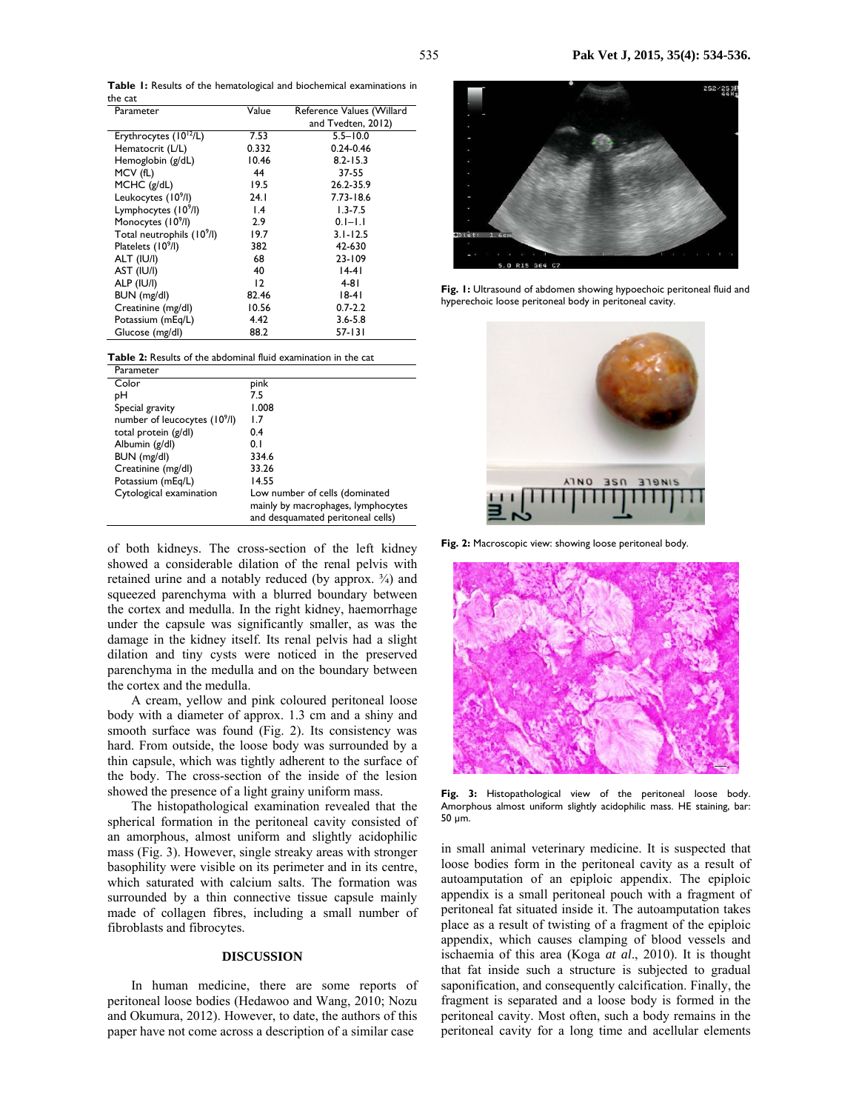**Table 1:** Results of the hematological and biochemical examinations in the cat

| Parameter                              | Value | Reference Values (Willard |
|----------------------------------------|-------|---------------------------|
|                                        |       | and Tvedten, 2012)        |
| Erythrocytes $(10^{12}/L)$             | 7.53  | $5.5 - 10.0$              |
| Hematocrit (L/L)                       | 0.332 | $0.24 - 0.46$             |
| Hemoglobin (g/dL)                      | 10.46 | $8.2 - 15.3$              |
| MCV (fL)                               | 44    | 37-55                     |
| MCHC (g/dL)                            | 19.5  | 26.2-35.9                 |
| Leukocytes (10 <sup>9</sup> /l)        | 24.1  | 7.73-18.6                 |
| Lymphocytes (10 <sup>9</sup> /l)       | l.4   | $1.3 - 7.5$               |
| Monocytes (10 <sup>9</sup> /l)         | 2.9   | $0.1 - 1.1$               |
| Total neutrophils (10 <sup>9</sup> /l) | 19.7  | $3.1 - 12.5$              |
| Platelets (10 <sup>9</sup> /l)         | 382   | 42-630                    |
| ALT (IU/I)                             | 68    | 23-109                    |
| AST (IU/I)                             | 40    | $14-41$                   |
| ALP (IU/I)                             | 12    | 4-81                      |
| BUN (mg/dl)                            | 82.46 | 18-41                     |
| Creatinine (mg/dl)                     | 10.56 | $0.7 - 2.2$               |
| Potassium (mEg/L)                      | 4.42  | $3.6 - 5.8$               |
| Glucose (mg/dl)                        | 88.2  | 57-131                    |

| <b>Table 2:</b> Results of the abdominal fluid examination in the cat |  |  |  |
|-----------------------------------------------------------------------|--|--|--|
|-----------------------------------------------------------------------|--|--|--|

| Parameter                                 |                                    |
|-------------------------------------------|------------------------------------|
| Color                                     | pink                               |
| pН                                        | 7.5                                |
| Special gravity                           | 1.008                              |
| number of leucocytes (10 <sup>9</sup> /l) | 1.7                                |
| total protein (g/dl)                      | 0.4                                |
| Albumin (g/dl)                            | 0. I                               |
| BUN (mg/dl)                               | 334.6                              |
| Creatinine (mg/dl)                        | 33.26                              |
| Potassium (mEq/L)                         | 14.55                              |
| Cytological examination                   | Low number of cells (dominated     |
|                                           | mainly by macrophages, lymphocytes |
|                                           | and desquamated peritoneal cells)  |

of both kidneys. The cross-section of the left kidney showed a considerable dilation of the renal pelvis with retained urine and a notably reduced (by approx. ¾) and squeezed parenchyma with a blurred boundary between the cortex and medulla. In the right kidney, haemorrhage under the capsule was significantly smaller, as was the damage in the kidney itself. Its renal pelvis had a slight dilation and tiny cysts were noticed in the preserved parenchyma in the medulla and on the boundary between the cortex and the medulla.

A cream, yellow and pink coloured peritoneal loose body with a diameter of approx. 1.3 cm and a shiny and smooth surface was found (Fig. 2). Its consistency was hard. From outside, the loose body was surrounded by a thin capsule, which was tightly adherent to the surface of the body. The cross-section of the inside of the lesion showed the presence of a light grainy uniform mass.

The histopathological examination revealed that the spherical formation in the peritoneal cavity consisted of an amorphous, almost uniform and slightly acidophilic mass (Fig. 3). However, single streaky areas with stronger basophility were visible on its perimeter and in its centre, which saturated with calcium salts. The formation was surrounded by a thin connective tissue capsule mainly made of collagen fibres, including a small number of fibroblasts and fibrocytes.

### **DISCUSSION**

In human medicine, there are some reports of peritoneal loose bodies (Hedawoo and Wang, 2010; Nozu and Okumura, 2012). However, to date, the authors of this paper have not come across a description of a similar case



**Fig. 1:** Ultrasound of abdomen showing hypoechoic peritoneal fluid and hyperechoic loose peritoneal body in peritoneal cavity.



**Fig. 2:** Macroscopic view: showing loose peritoneal body.



**Fig. 3:** Histopathological view of the peritoneal loose body. Amorphous almost uniform slightly acidophilic mass. HE staining, bar: 50 µm.

in small animal veterinary medicine. It is suspected that loose bodies form in the peritoneal cavity as a result of autoamputation of an epiploic appendix. The epiploic appendix is a small peritoneal pouch with a fragment of peritoneal fat situated inside it. The autoamputation takes place as a result of twisting of a fragment of the epiploic appendix, which causes clamping of blood vessels and ischaemia of this area (Koga *at al*., 2010). It is thought that fat inside such a structure is subjected to gradual saponification, and consequently calcification. Finally, the fragment is separated and a loose body is formed in the peritoneal cavity. Most often, such a body remains in the peritoneal cavity for a long time and acellular elements